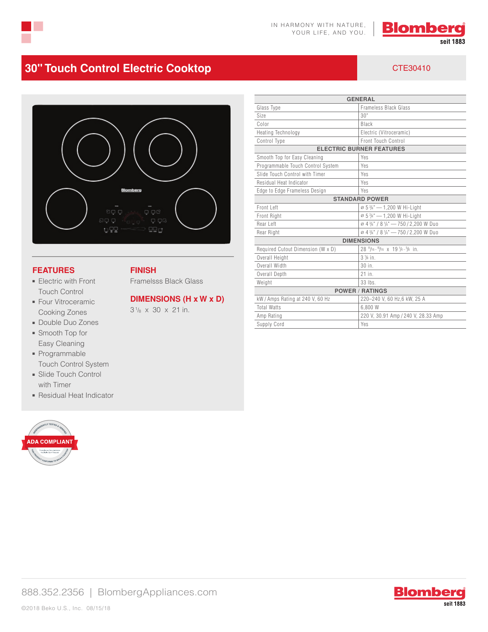



# **30" Touch Control Electric Cooktop CTE30410** CTE30410



**FINISH**

Framelsss Black Glass

31/8 x 30 x 21 in.

**DIMENSIONS (H x W x D)**

### **FEATURES**

- Electric with Front Touch Control
- Four Vitroceramic Cooking Zones
- Double Duo Zones
- Smooth Top for Easy Cleaning
- Programmable Touch Control System
- Slide Touch Control with Timer
- Residual Heat Indicator



| <b>GENERAL</b>                    |                                                                          |
|-----------------------------------|--------------------------------------------------------------------------|
| Glass Type                        | Frameless Black Glass                                                    |
| Size                              | 30"                                                                      |
| Color                             | Black                                                                    |
| <b>Heating Technology</b>         | Electric (Vitroceramic)                                                  |
| Control Type                      | Front Touch Control                                                      |
| <b>ELECTRIC BURNER FEATURES</b>   |                                                                          |
| Smooth Top for Easy Cleaning      | Yes                                                                      |
| Programmable Touch Control System | Yes                                                                      |
| Slide Touch Control with Timer    | Yes                                                                      |
| Residual Heat Indicator           | Yes                                                                      |
| Edge to Edge Frameless Design     | Yes                                                                      |
| <b>STANDARD POWER</b>             |                                                                          |
| Front Left                        | $\varnothing$ 5 $\frac{3}{4}$ " - 1,200 W Hi-Light                       |
| <b>Front Right</b>                | Ø 5 3/4" - 1,200 W Hi-Light                                              |
| Rear Left                         | Ø 4 3/4" / 8 1/4" -750 / 2,200 W Duo                                     |
| Rear Right                        | Ø 4 3/4" / 8 1/4" -750 / 2,200 W Duo                                     |
| <b>DIMENSIONS</b>                 |                                                                          |
| Required Cutout Dimension (W x D) | $28$ $\frac{11}{16} - \frac{15}{16}$ x $19\frac{1}{4} - \frac{5}{8}$ in. |
| Overall Height                    | $3\frac{1}{8}$ in.                                                       |
| Overall Width                     | $30$ in.                                                                 |
| Overall Depth                     | 21 in.                                                                   |
| Weight                            | $33$ lbs.                                                                |
| <b>POWER / RATINGS</b>            |                                                                          |
| kW / Amps Rating at 240 V, 60 Hz  | 220-240 V, 60 Hz, 6 kW, 25 A                                             |
| <b>Total Watts</b>                | 6.800 W                                                                  |
| Amp Rating                        | 220 V, 30.91 Amp / 240 V, 28.33 Amp                                      |
| Supply Cord                       | Yes                                                                      |